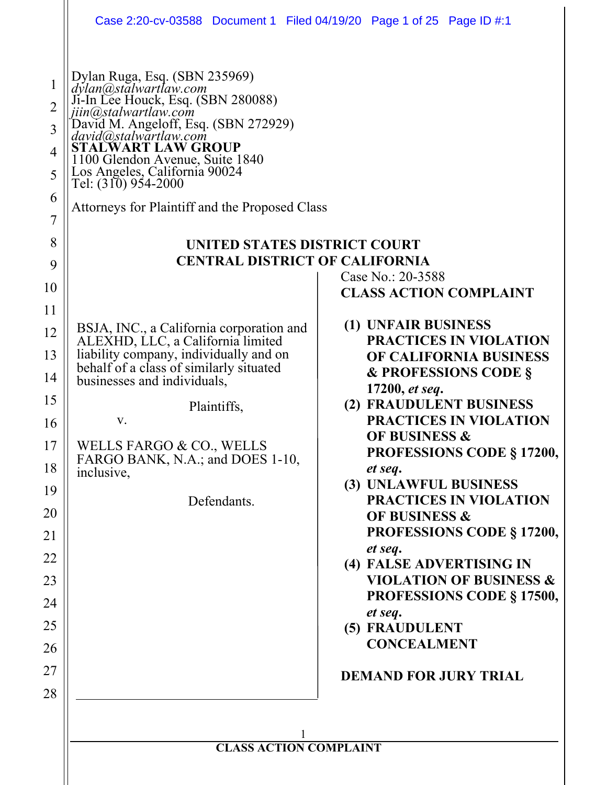|                                                                | Case 2:20-cv-03588 Document 1 Filed 04/19/20 Page 1 of 25 Page ID #:1                                                                                                                                                                                                                                                                                                                           |                                                                |  |  |  |
|----------------------------------------------------------------|-------------------------------------------------------------------------------------------------------------------------------------------------------------------------------------------------------------------------------------------------------------------------------------------------------------------------------------------------------------------------------------------------|----------------------------------------------------------------|--|--|--|
| 1<br>$\overline{2}$<br>3<br>4<br>5<br>6<br>$\overline{7}$<br>8 | Dylan Ruga, Esq. (SBN 235969)<br>dylan@stalwartlaw.com<br>Ji-In Lee Houck, Esq. (SBN 280088)<br>jiin@stalwartlaw.com<br>David M. Angeloff, Esq. (SBN 272929)<br>david@stalwartlaw.com<br><b>STALWART LAW GROUP</b><br>1100 Glendon Avenue, Suite 1840<br>Los Angeles, California 90024<br>Tel: (310) 954-2000<br>Attorneys for Plaintiff and the Proposed Class<br>UNITED STATES DISTRICT COURT |                                                                |  |  |  |
| 9                                                              | <b>CENTRAL DISTRICT OF CALIFORNIA</b>                                                                                                                                                                                                                                                                                                                                                           |                                                                |  |  |  |
| 10                                                             |                                                                                                                                                                                                                                                                                                                                                                                                 | Case No.: 20-3588                                              |  |  |  |
| 11                                                             |                                                                                                                                                                                                                                                                                                                                                                                                 | <b>CLASS ACTION COMPLAINT</b>                                  |  |  |  |
| 12                                                             | BSJA, INC., a California corporation and                                                                                                                                                                                                                                                                                                                                                        | (1) UNFAIR BUSINESS                                            |  |  |  |
| 13                                                             | ALEXHD, LLC, a California limited<br>liability company, individually and on                                                                                                                                                                                                                                                                                                                     | <b>PRACTICES IN VIOLATION</b><br>OF CALIFORNIA BUSINESS        |  |  |  |
| 14                                                             | behalf of a class of similarly situated<br>businesses and individuals,                                                                                                                                                                                                                                                                                                                          | & PROFESSIONS CODE §                                           |  |  |  |
| 15                                                             | Plaintiffs,                                                                                                                                                                                                                                                                                                                                                                                     | 17200, et seq.<br>(2) FRAUDULENT BUSINESS                      |  |  |  |
| 16                                                             | V.                                                                                                                                                                                                                                                                                                                                                                                              | <b>PRACTICES IN VIOLATION</b>                                  |  |  |  |
| 17                                                             | WELLS FARGO & CO., WELLS                                                                                                                                                                                                                                                                                                                                                                        | <b>OF BUSINESS &amp;</b><br><b>PROFESSIONS CODE § 17200,</b>   |  |  |  |
| 18                                                             | FARGO BANK, N.A.; and DOES 1-10,<br>inclusive,                                                                                                                                                                                                                                                                                                                                                  | et seq.                                                        |  |  |  |
| 19                                                             |                                                                                                                                                                                                                                                                                                                                                                                                 | (3) UNLAWFUL BUSINESS                                          |  |  |  |
| 20                                                             | Defendants.                                                                                                                                                                                                                                                                                                                                                                                     | <b>PRACTICES IN VIOLATION</b><br><b>OF BUSINESS &amp;</b>      |  |  |  |
| 21                                                             |                                                                                                                                                                                                                                                                                                                                                                                                 | PROFESSIONS CODE § 17200,                                      |  |  |  |
| 22                                                             |                                                                                                                                                                                                                                                                                                                                                                                                 | et seq.                                                        |  |  |  |
| 23                                                             |                                                                                                                                                                                                                                                                                                                                                                                                 | (4) FALSE ADVERTISING IN<br><b>VIOLATION OF BUSINESS &amp;</b> |  |  |  |
|                                                                |                                                                                                                                                                                                                                                                                                                                                                                                 | <b>PROFESSIONS CODE § 17500,</b>                               |  |  |  |
| 24                                                             |                                                                                                                                                                                                                                                                                                                                                                                                 | et seq.                                                        |  |  |  |
| 25                                                             |                                                                                                                                                                                                                                                                                                                                                                                                 | (5) FRAUDULENT<br><b>CONCEALMENT</b>                           |  |  |  |
| 26                                                             |                                                                                                                                                                                                                                                                                                                                                                                                 |                                                                |  |  |  |
| 27<br>28                                                       |                                                                                                                                                                                                                                                                                                                                                                                                 | <b>DEMAND FOR JURY TRIAL</b>                                   |  |  |  |
|                                                                |                                                                                                                                                                                                                                                                                                                                                                                                 |                                                                |  |  |  |
|                                                                |                                                                                                                                                                                                                                                                                                                                                                                                 |                                                                |  |  |  |
|                                                                | <b>CLASS ACTION COMPLAINT</b>                                                                                                                                                                                                                                                                                                                                                                   |                                                                |  |  |  |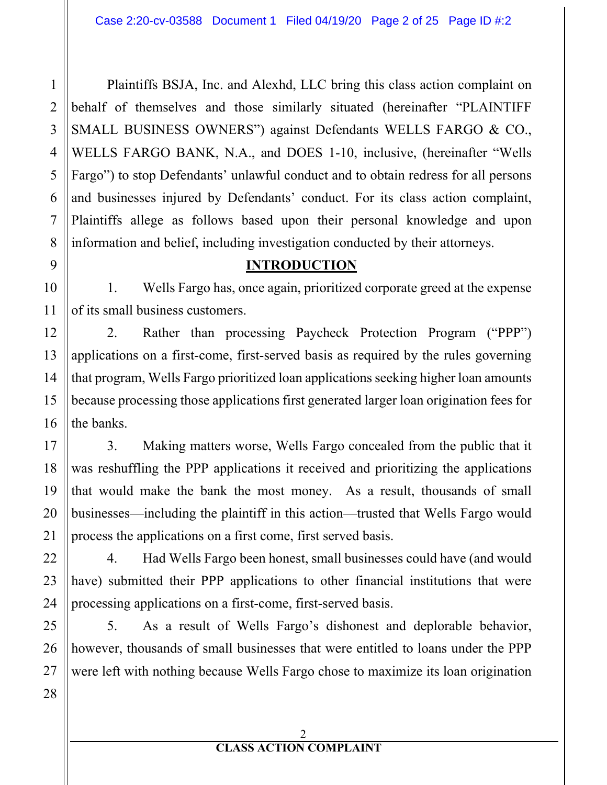Plaintiffs BSJA, Inc. and Alexhd, LLC bring this class action complaint on behalf of themselves and those similarly situated (hereinafter "PLAINTIFF SMALL BUSINESS OWNERS") against Defendants WELLS FARGO & CO., WELLS FARGO BANK, N.A., and DOES 1-10, inclusive, (hereinafter "Wells Fargo") to stop Defendants' unlawful conduct and to obtain redress for all persons and businesses injured by Defendants' conduct. For its class action complaint, Plaintiffs allege as follows based upon their personal knowledge and upon information and belief, including investigation conducted by their attorneys.

## **INTRODUCTION**

1. Wells Fargo has, once again, prioritized corporate greed at the expense of its small business customers.

2. Rather than processing Paycheck Protection Program ("PPP") applications on a first-come, first-served basis as required by the rules governing that program, Wells Fargo prioritized loan applications seeking higher loan amounts because processing those applications first generated larger loan origination fees for the banks.

3. Making matters worse, Wells Fargo concealed from the public that it was reshuffling the PPP applications it received and prioritizing the applications that would make the bank the most money. As a result, thousands of small businesses—including the plaintiff in this action—trusted that Wells Fargo would process the applications on a first come, first served basis.

4. Had Wells Fargo been honest, small businesses could have (and would have) submitted their PPP applications to other financial institutions that were processing applications on a first-come, first-served basis.

5. As a result of Wells Fargo's dishonest and deplorable behavior, however, thousands of small businesses that were entitled to loans under the PPP were left with nothing because Wells Fargo chose to maximize its loan origination

1

2

3

4

5

6

7

8

9

10

11

12

13

14

15

16

17

18

19

20

21

22

23

24

25

26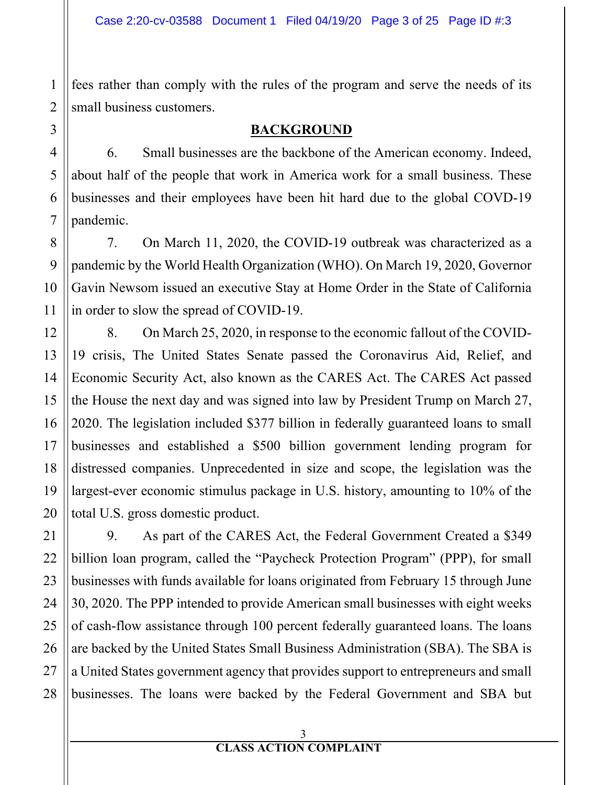1 fees rather than comply with the rules of the program and serve the needs of its small business customers.

### **BACKGROUND**

6. Small businesses are the backbone of the American economy. Indeed, about half of the people that work in America work for a small business. These businesses and their employees have been hit hard due to the global COVD-19 pandemic.

7. On March 11, 2020, the COVID-19 outbreak was characterized as a pandemic by the World Health Organization (WHO). On March 19, 2020, Governor Gavin Newsom issued an executive Stay at Home Order in the State of California in order to slow the spread of COVID-19.

8. On March 25, 2020, in response to the economic fallout of the COVID-19 crisis, The United States Senate passed the Coronavirus Aid, Relief, and Economic Security Act, also known as the CARES Act. The CARES Act passed the House the next day and was signed into law by President Trump on March 27, 2020. The legislation included \$377 billion in federally guaranteed loans to small businesses and established a \$500 billion government lending program for distressed companies. Unprecedented in size and scope, the legislation was the largest-ever economic stimulus package in U.S. history, amounting to 10% of the total U.S. gross domestic product.

9. As part of the CARES Act, the Federal Government Created a \$349 billion loan program, called the "Paycheck Protection Program" (PPP), for small businesses with funds available for loans originated from February 15 through June 30, 2020. The PPP intended to provide American small businesses with eight weeks of cash-flow assistance through 100 percent federally guaranteed loans. The loans are backed by the United States Small Business Administration (SBA). The SBA is a United States government agency that provides support to entrepreneurs and small businesses. The loans were backed by the Federal Government and SBA but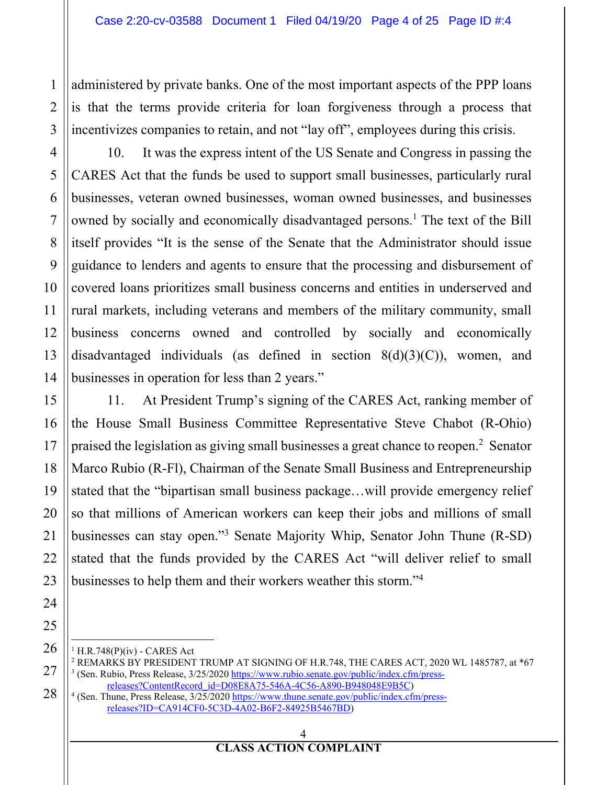administered by private banks. One of the most important aspects of the PPP loans is that the terms provide criteria for loan forgiveness through a process that incentivizes companies to retain, and not "lay off", employees during this crisis.

10. It was the express intent of the US Senate and Congress in passing the CARES Act that the funds be used to support small businesses, particularly rural businesses, veteran owned businesses, woman owned businesses, and businesses owned by socially and economically disadvantaged persons.<sup>1</sup> The text of the Bill itself provides "It is the sense of the Senate that the Administrator should issue guidance to lenders and agents to ensure that the processing and disbursement of covered loans prioritizes small business concerns and entities in underserved and rural markets, including veterans and members of the military community, small business concerns owned and controlled by socially and economically disadvantaged individuals (as defined in section  $8(d)(3)(C)$ ), women, and businesses in operation for less than 2 years."

11. At President Trump's signing of the CARES Act, ranking member of the House Small Business Committee Representative Steve Chabot (R-Ohio) praised the legislation as giving small businesses a great chance to reopen.<sup>2</sup> Senator Marco Rubio (R-Fl), Chairman of the Senate Small Business and Entrepreneurship stated that the "bipartisan small business package…will provide emergency relief so that millions of American workers can keep their jobs and millions of small businesses can stay open."3 Senate Majority Whip, Senator John Thune (R-SD) stated that the funds provided by the CARES Act "will deliver relief to small businesses to help them and their workers weather this storm."4

1 H.R.748(P)(iv) - CARES Act

<sup>2</sup> REMARKS BY PRESIDENT TRUMP AT SIGNING OF H.R.748, THE CARES ACT, 2020 WL 1485787, at \*67 <sup>3</sup> (Sen. Rubio, Press Release, 3/25/2020 https://www.rubio.senate.gov/public/index.cfm/pressreleases?ContentRecord\_id=D08E8A75-546A-4C56-A890-B948048E9B5C) 4

<sup>&</sup>lt;sup>4</sup> (Sen. Thune, Press Release, 3/25/2020 https://www.thune.senate.gov/public/index.cfm/pressreleases?ID=CA914CF0-5C3D-4A02-B6F2-84925B5467BD)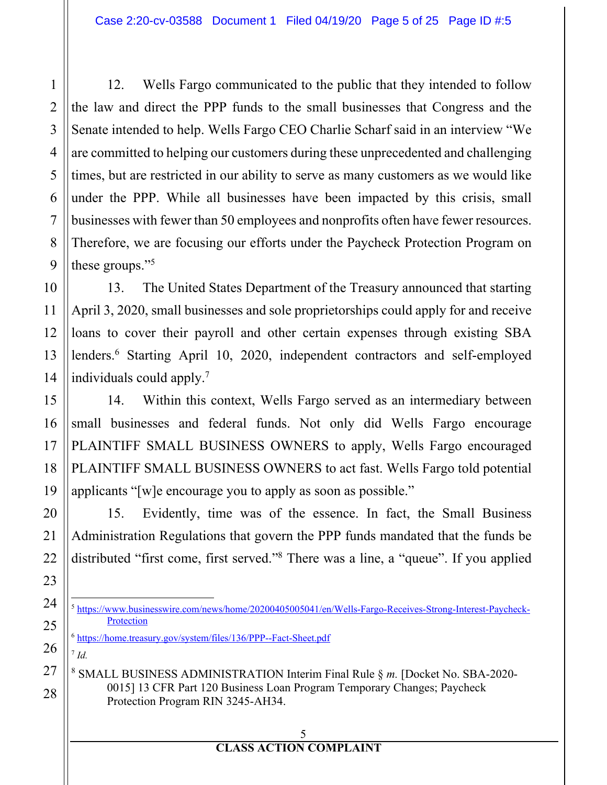12. Wells Fargo communicated to the public that they intended to follow the law and direct the PPP funds to the small businesses that Congress and the Senate intended to help. Wells Fargo CEO Charlie Scharf said in an interview "We are committed to helping our customers during these unprecedented and challenging times, but are restricted in our ability to serve as many customers as we would like under the PPP. While all businesses have been impacted by this crisis, small businesses with fewer than 50 employees and nonprofits often have fewer resources. Therefore, we are focusing our efforts under the Paycheck Protection Program on these groups."<sup>5</sup>

13. The United States Department of the Treasury announced that starting April 3, 2020, small businesses and sole proprietorships could apply for and receive loans to cover their payroll and other certain expenses through existing SBA lenders.<sup>6</sup> Starting April 10, 2020, independent contractors and self-employed individuals could apply.7

14. Within this context, Wells Fargo served as an intermediary between small businesses and federal funds. Not only did Wells Fargo encourage PLAINTIFF SMALL BUSINESS OWNERS to apply, Wells Fargo encouraged PLAINTIFF SMALL BUSINESS OWNERS to act fast. Wells Fargo told potential applicants "[w]e encourage you to apply as soon as possible."

15. Evidently, time was of the essence. In fact, the Small Business Administration Regulations that govern the PPP funds mandated that the funds be distributed "first come, first served."<sup>8</sup> There was a line, a "queue". If you applied

<sup>6</sup> https://home.treasury.gov/system/files/136/PPP--Fact-Sheet.pdf

<sup>7</sup> *Id.*

1

2

3

4

5

<sup>5</sup> https://www.businesswire.com/news/home/20200405005041/en/Wells-Fargo-Receives-Strong-Interest-Paycheck-**Protection** 

<sup>8</sup> SMALL BUSINESS ADMINISTRATION Interim Final Rule § *m.* [Docket No. SBA-2020- 0015] 13 CFR Part 120 Business Loan Program Temporary Changes; Paycheck Protection Program RIN 3245-AH34.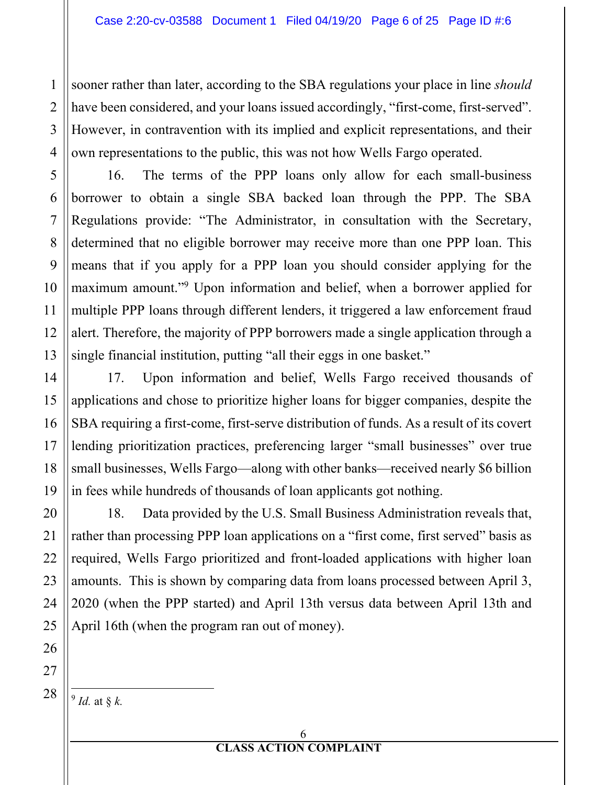sooner rather than later, according to the SBA regulations your place in line *should* have been considered, and your loans issued accordingly, "first-come, first-served". However, in contravention with its implied and explicit representations, and their own representations to the public, this was not how Wells Fargo operated.

16. The terms of the PPP loans only allow for each small-business borrower to obtain a single SBA backed loan through the PPP. The SBA Regulations provide: "The Administrator, in consultation with the Secretary, determined that no eligible borrower may receive more than one PPP loan. This means that if you apply for a PPP loan you should consider applying for the maximum amount."<sup>9</sup> Upon information and belief, when a borrower applied for multiple PPP loans through different lenders, it triggered a law enforcement fraud alert. Therefore, the majority of PPP borrowers made a single application through a single financial institution, putting "all their eggs in one basket."

17. Upon information and belief, Wells Fargo received thousands of applications and chose to prioritize higher loans for bigger companies, despite the SBA requiring a first-come, first-serve distribution of funds. As a result of its covert lending prioritization practices, preferencing larger "small businesses" over true small businesses, Wells Fargo—along with other banks—received nearly \$6 billion in fees while hundreds of thousands of loan applicants got nothing.

18. Data provided by the U.S. Small Business Administration reveals that, rather than processing PPP loan applications on a "first come, first served" basis as required, Wells Fargo prioritized and front-loaded applications with higher loan amounts. This is shown by comparing data from loans processed between April 3, 2020 (when the PPP started) and April 13th versus data between April 13th and April 16th (when the program ran out of money).

28

 $9$  *Id.* at § *k.* 

1

2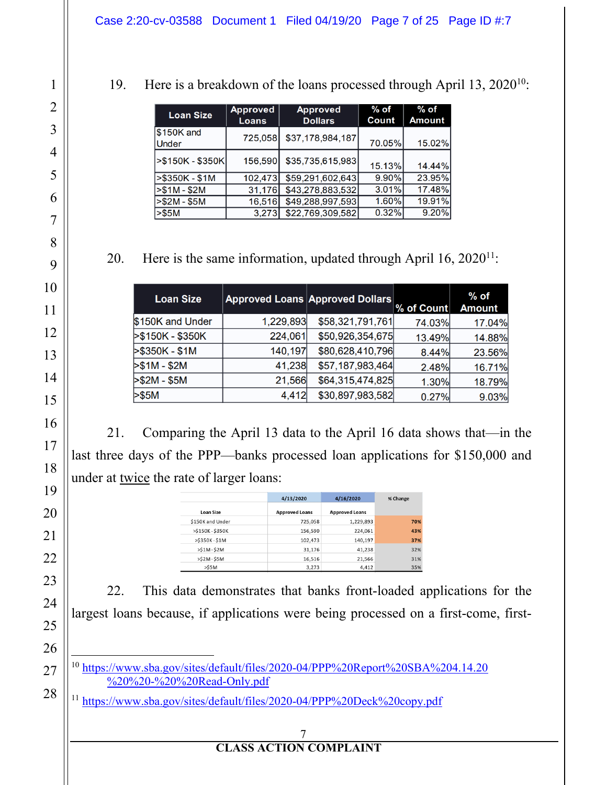|  | 19. Here is a breakdown of the loans processed through April 13, 2020 <sup>10</sup> : |  |  |  |
|--|---------------------------------------------------------------------------------------|--|--|--|
|--|---------------------------------------------------------------------------------------|--|--|--|

| <b>Loan Size</b>           | <b>Approved</b><br><b>Loans</b> | <b>Approved</b><br><b>Dollars</b> | $%$ of<br>Count | $%$ of<br><b>Amount</b> |
|----------------------------|---------------------------------|-----------------------------------|-----------------|-------------------------|
| \$150K and<br><b>Under</b> | 725,058                         | \$37,178,984,187                  | 70.05%          | 15.02%                  |
| $> $150K - $350K$          | 156,590                         | \$35,735,615,983                  | 15.13%          | 14.44%                  |
| >\$350K - \$1M             | 102,473                         | \$59,291,602,643                  | 9.90%           | 23.95%                  |
| $> $1M - $2M$              | 31.176                          | \$43,278,883,532                  | 3.01%           | 17.48%                  |
| $> $2M - $5M$              | 16,516                          | \$49,288,997,593                  | 1.60%           | 19.91%                  |
| > \$5M                     | 3.273                           | \$22,769,309,582                  | 0.32%           | 9.20%                   |

20. Here is the same information, updated through April  $16, 2020^{11}$ :

| <b>Loan Size</b> |           | <b>Approved Loans Approved Dollars</b> | % of Count | $%$ of<br><b>Amount</b> |
|------------------|-----------|----------------------------------------|------------|-------------------------|
| \$150K and Under | 1,229,893 | \$58,321,791,761                       | 74.03%     | 17.04%                  |
| >\$150K - \$350K | 224,061   | \$50,926,354,675                       | 13.49%     | 14.88%                  |
| >\$350K - \$1M   | 140,197   | \$80,628,410,796                       | 8.44%      | 23.56%                  |
| >\$1M - \$2M     | 41,238    | \$57,187,983,464                       | 2.48%      | 16.71%                  |
| $> $2M - $5M$    | 21,566    | \$64,315,474,825                       | 1.30%      | 18.79%                  |
| > \$5M           | 4,412     | \$30,897,983,582                       | 0.27%      | 9.03%                   |

21. Comparing the April 13 data to the April 16 data shows that—in the last three days of the PPP—banks processed loan applications for \$150,000 and under at twice the rate of larger loans:

|                  | 4/13/2020<br>4/16/2020 |                       | % Change |  |
|------------------|------------------------|-----------------------|----------|--|
| Loan Size        | <b>Approved Loans</b>  | <b>Approved Loans</b> |          |  |
| \$150K and Under | 725,058                | 1,229,893             | 70%      |  |
| >\$150K-\$350K   | 156,590                | 224,061               | 43%      |  |
| >\$350K-\$1M     | 102,473                | 140,197               | 37%      |  |
| $>51M - 52M$     | 31,176                 | 41,238                | 32%      |  |
| $>52M-S5M$       | 16,516                 | 21,566                | 31%      |  |
| >55M             | 3,273                  | 4,412                 | 35%      |  |

22. This data demonstrates that banks front-loaded applications for the largest loans because, if applications were being processed on a first-come, first-

 https://www.sba.gov/sites/default/files/2020-04/PPP%20Report%20SBA%204.14.20 %20%20-%20%20Read-Only.pdf

https://www.sba.gov/sites/default/files/2020-04/PPP%20Deck%20copy.pdf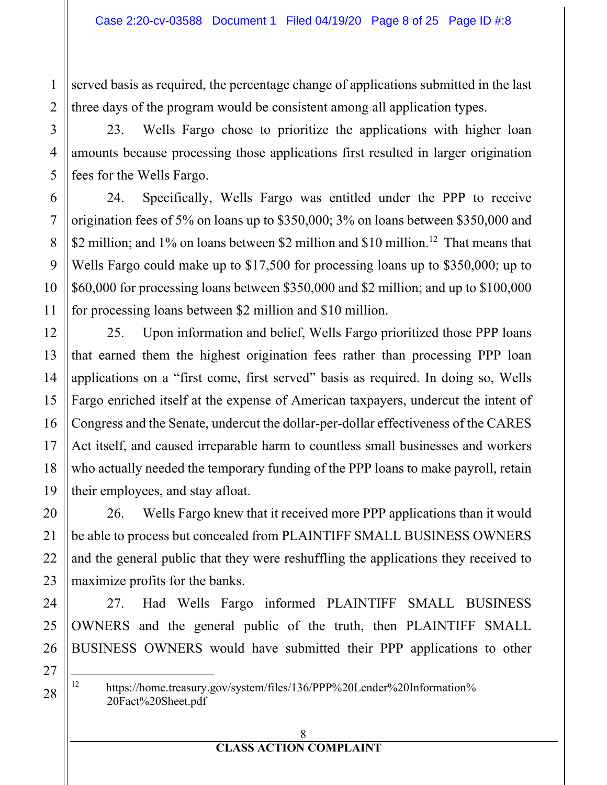served basis as required, the percentage change of applications submitted in the last three days of the program would be consistent among all application types.

23. Wells Fargo chose to prioritize the applications with higher loan amounts because processing those applications first resulted in larger origination fees for the Wells Fargo.

24. Specifically, Wells Fargo was entitled under the PPP to receive origination fees of 5% on loans up to \$350,000; 3% on loans between \$350,000 and \$2 million; and 1% on loans between \$2 million and \$10 million.<sup>12</sup> That means that Wells Fargo could make up to \$17,500 for processing loans up to \$350,000; up to \$60,000 for processing loans between \$350,000 and \$2 million; and up to \$100,000 for processing loans between \$2 million and \$10 million.

25. Upon information and belief, Wells Fargo prioritized those PPP loans that earned them the highest origination fees rather than processing PPP loan applications on a "first come, first served" basis as required. In doing so, Wells Fargo enriched itself at the expense of American taxpayers, undercut the intent of Congress and the Senate, undercut the dollar-per-dollar effectiveness of the CARES Act itself, and caused irreparable harm to countless small businesses and workers who actually needed the temporary funding of the PPP loans to make payroll, retain their employees, and stay afloat.

26. Wells Fargo knew that it received more PPP applications than it would be able to process but concealed from PLAINTIFF SMALL BUSINESS OWNERS and the general public that they were reshuffling the applications they received to maximize profits for the banks.

27. Had Wells Fargo informed PLAINTIFF SMALL BUSINESS OWNERS and the general public of the truth, then PLAINTIFF SMALL BUSINESS OWNERS would have submitted their PPP applications to other

12 https://home.treasury.gov/system/files/136/PPP%20Lender%20Information% 20Fact%20Sheet.pdf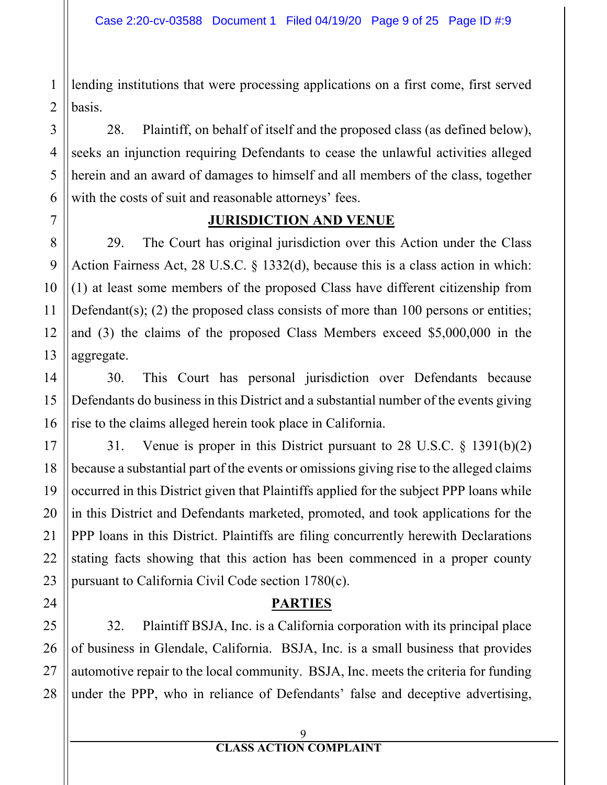lending institutions that were processing applications on a first come, first served basis.

28. Plaintiff, on behalf of itself and the proposed class (as defined below), seeks an injunction requiring Defendants to cease the unlawful activities alleged herein and an award of damages to himself and all members of the class, together with the costs of suit and reasonable attorneys' fees.

### **JURISDICTION AND VENUE**

29. The Court has original jurisdiction over this Action under the Class Action Fairness Act, 28 U.S.C. § 1332(d), because this is a class action in which: (1) at least some members of the proposed Class have different citizenship from Defendant(s); (2) the proposed class consists of more than 100 persons or entities; and (3) the claims of the proposed Class Members exceed \$5,000,000 in the aggregate.

30. This Court has personal jurisdiction over Defendants because Defendants do business in this District and a substantial number of the events giving rise to the claims alleged herein took place in California.

31. Venue is proper in this District pursuant to 28 U.S.C. § 1391(b)(2) because a substantial part of the events or omissions giving rise to the alleged claims occurred in this District given that Plaintiffs applied for the subject PPP loans while in this District and Defendants marketed, promoted, and took applications for the PPP loans in this District. Plaintiffs are filing concurrently herewith Declarations stating facts showing that this action has been commenced in a proper county pursuant to California Civil Code section 1780(c).

## **PARTIES**

32. Plaintiff BSJA, Inc. is a California corporation with its principal place of business in Glendale, California. BSJA, Inc. is a small business that provides automotive repair to the local community. BSJA, Inc. meets the criteria for funding under the PPP, who in reliance of Defendants' false and deceptive advertising,

1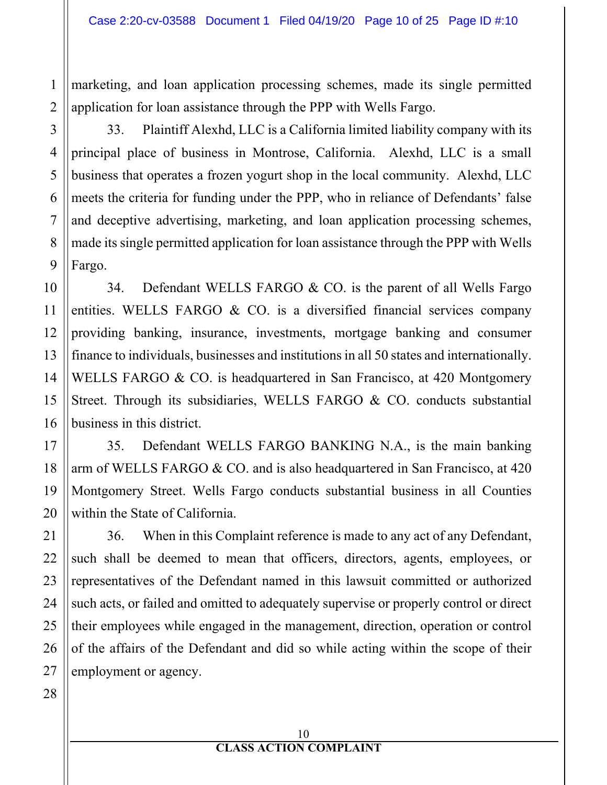marketing, and loan application processing schemes, made its single permitted application for loan assistance through the PPP with Wells Fargo.

33. Plaintiff Alexhd, LLC is a California limited liability company with its principal place of business in Montrose, California. Alexhd, LLC is a small business that operates a frozen yogurt shop in the local community. Alexhd, LLC meets the criteria for funding under the PPP, who in reliance of Defendants' false and deceptive advertising, marketing, and loan application processing schemes, made its single permitted application for loan assistance through the PPP with Wells Fargo.

34. Defendant WELLS FARGO & CO. is the parent of all Wells Fargo entities. WELLS FARGO & CO. is a diversified financial services company providing banking, insurance, investments, mortgage banking and consumer finance to individuals, businesses and institutions in all 50 states and internationally. WELLS FARGO & CO. is headquartered in San Francisco, at 420 Montgomery Street. Through its subsidiaries, WELLS FARGO & CO. conducts substantial business in this district.

35. Defendant WELLS FARGO BANKING N.A., is the main banking arm of WELLS FARGO & CO. and is also headquartered in San Francisco, at 420 Montgomery Street. Wells Fargo conducts substantial business in all Counties within the State of California.

36. When in this Complaint reference is made to any act of any Defendant, such shall be deemed to mean that officers, directors, agents, employees, or representatives of the Defendant named in this lawsuit committed or authorized such acts, or failed and omitted to adequately supervise or properly control or direct their employees while engaged in the management, direction, operation or control of the affairs of the Defendant and did so while acting within the scope of their employment or agency.

1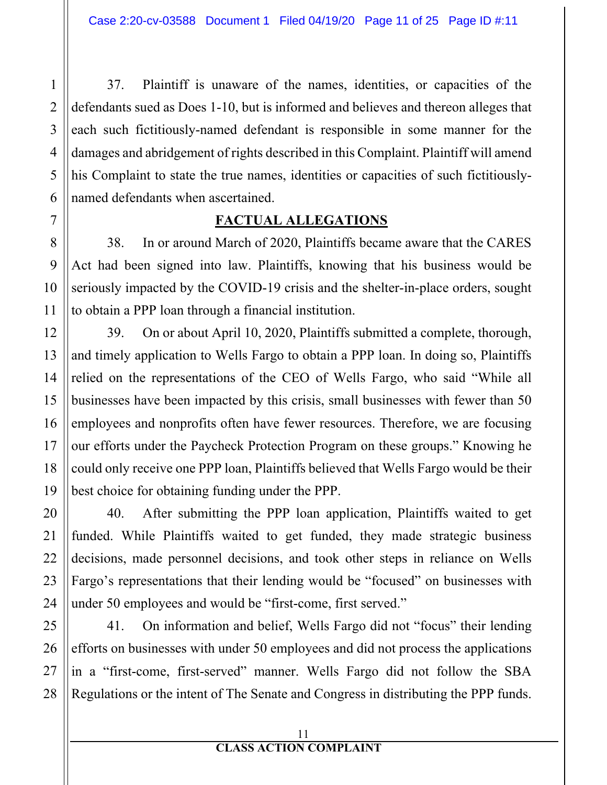37. Plaintiff is unaware of the names, identities, or capacities of the defendants sued as Does 1-10, but is informed and believes and thereon alleges that each such fictitiously-named defendant is responsible in some manner for the damages and abridgement of rights described in this Complaint. Plaintiff will amend his Complaint to state the true names, identities or capacities of such fictitiouslynamed defendants when ascertained.

# **FACTUAL ALLEGATIONS**

38. In or around March of 2020, Plaintiffs became aware that the CARES Act had been signed into law. Plaintiffs, knowing that his business would be seriously impacted by the COVID-19 crisis and the shelter-in-place orders, sought to obtain a PPP loan through a financial institution.

39. On or about April 10, 2020, Plaintiffs submitted a complete, thorough, and timely application to Wells Fargo to obtain a PPP loan. In doing so, Plaintiffs relied on the representations of the CEO of Wells Fargo, who said "While all businesses have been impacted by this crisis, small businesses with fewer than 50 employees and nonprofits often have fewer resources. Therefore, we are focusing our efforts under the Paycheck Protection Program on these groups." Knowing he could only receive one PPP loan, Plaintiffs believed that Wells Fargo would be their best choice for obtaining funding under the PPP.

40. After submitting the PPP loan application, Plaintiffs waited to get funded. While Plaintiffs waited to get funded, they made strategic business decisions, made personnel decisions, and took other steps in reliance on Wells Fargo's representations that their lending would be "focused" on businesses with under 50 employees and would be "first-come, first served."

41. On information and belief, Wells Fargo did not "focus" their lending efforts on businesses with under 50 employees and did not process the applications in a "first-come, first-served" manner. Wells Fargo did not follow the SBA Regulations or the intent of The Senate and Congress in distributing the PPP funds.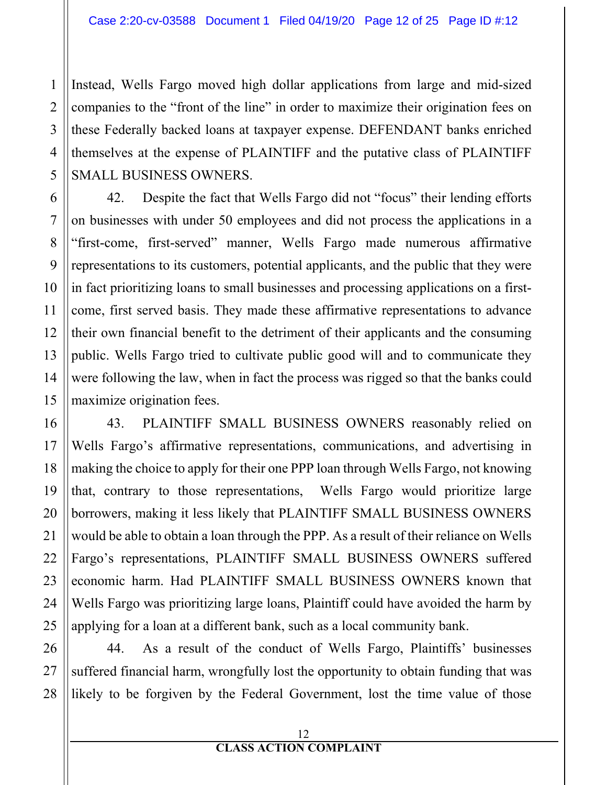Instead, Wells Fargo moved high dollar applications from large and mid-sized companies to the "front of the line" in order to maximize their origination fees on these Federally backed loans at taxpayer expense. DEFENDANT banks enriched themselves at the expense of PLAINTIFF and the putative class of PLAINTIFF SMALL BUSINESS OWNERS.

42. Despite the fact that Wells Fargo did not "focus" their lending efforts on businesses with under 50 employees and did not process the applications in a "first-come, first-served" manner, Wells Fargo made numerous affirmative representations to its customers, potential applicants, and the public that they were in fact prioritizing loans to small businesses and processing applications on a firstcome, first served basis. They made these affirmative representations to advance their own financial benefit to the detriment of their applicants and the consuming public. Wells Fargo tried to cultivate public good will and to communicate they were following the law, when in fact the process was rigged so that the banks could maximize origination fees.

43. PLAINTIFF SMALL BUSINESS OWNERS reasonably relied on Wells Fargo's affirmative representations, communications, and advertising in making the choice to apply for their one PPP loan through Wells Fargo, not knowing that, contrary to those representations, Wells Fargo would prioritize large borrowers, making it less likely that PLAINTIFF SMALL BUSINESS OWNERS would be able to obtain a loan through the PPP. As a result of their reliance on Wells Fargo's representations, PLAINTIFF SMALL BUSINESS OWNERS suffered economic harm. Had PLAINTIFF SMALL BUSINESS OWNERS known that Wells Fargo was prioritizing large loans, Plaintiff could have avoided the harm by applying for a loan at a different bank, such as a local community bank.

44. As a result of the conduct of Wells Fargo, Plaintiffs' businesses suffered financial harm, wrongfully lost the opportunity to obtain funding that was likely to be forgiven by the Federal Government, lost the time value of those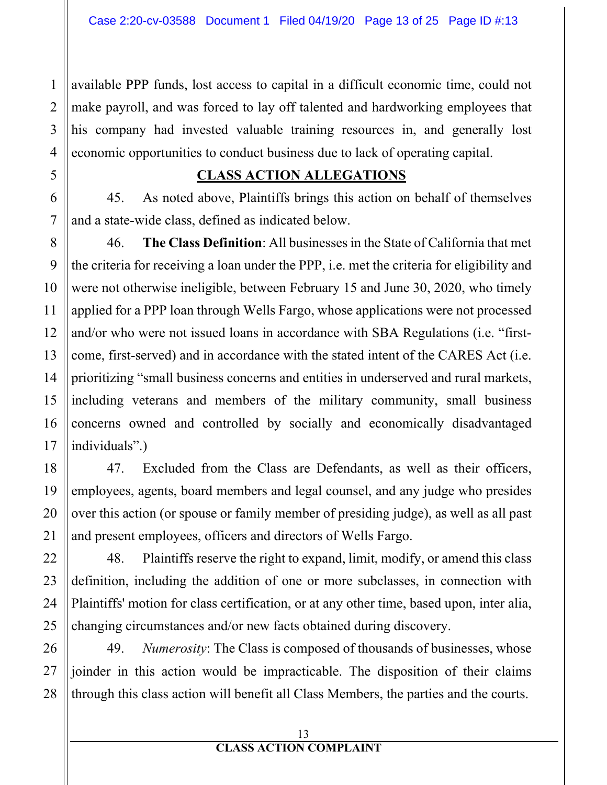available PPP funds, lost access to capital in a difficult economic time, could not make payroll, and was forced to lay off talented and hardworking employees that his company had invested valuable training resources in, and generally lost economic opportunities to conduct business due to lack of operating capital.

## **CLASS ACTION ALLEGATIONS**

45. As noted above, Plaintiffs brings this action on behalf of themselves and a state-wide class, defined as indicated below.

46. **The Class Definition**: All businesses in the State of California that met the criteria for receiving a loan under the PPP, i.e. met the criteria for eligibility and were not otherwise ineligible, between February 15 and June 30, 2020, who timely applied for a PPP loan through Wells Fargo, whose applications were not processed and/or who were not issued loans in accordance with SBA Regulations (i.e. "firstcome, first-served) and in accordance with the stated intent of the CARES Act (i.e. prioritizing "small business concerns and entities in underserved and rural markets, including veterans and members of the military community, small business concerns owned and controlled by socially and economically disadvantaged individuals".)

47. Excluded from the Class are Defendants, as well as their officers, employees, agents, board members and legal counsel, and any judge who presides over this action (or spouse or family member of presiding judge), as well as all past and present employees, officers and directors of Wells Fargo.

48. Plaintiffs reserve the right to expand, limit, modify, or amend this class definition, including the addition of one or more subclasses, in connection with Plaintiffs' motion for class certification, or at any other time, based upon, inter alia, changing circumstances and/or new facts obtained during discovery.

49. *Numerosity*: The Class is composed of thousands of businesses, whose joinder in this action would be impracticable. The disposition of their claims through this class action will benefit all Class Members, the parties and the courts.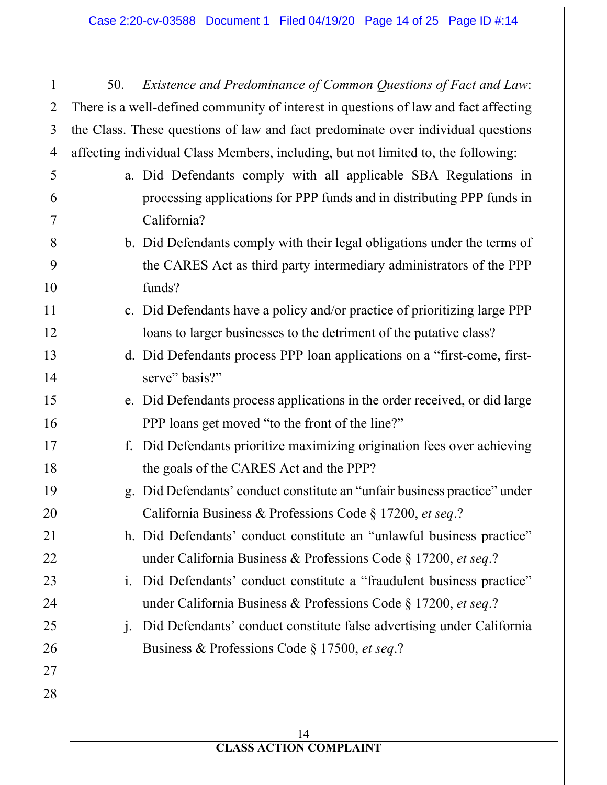50. *Existence and Predominance of Common Questions of Fact and Law*: There is a well-defined community of interest in questions of law and fact affecting the Class. These questions of law and fact predominate over individual questions affecting individual Class Members, including, but not limited to, the following:

- a. Did Defendants comply with all applicable SBA Regulations in processing applications for PPP funds and in distributing PPP funds in California?
- b. Did Defendants comply with their legal obligations under the terms of the CARES Act as third party intermediary administrators of the PPP funds?
- c. Did Defendants have a policy and/or practice of prioritizing large PPP loans to larger businesses to the detriment of the putative class?
- d. Did Defendants process PPP loan applications on a "first-come, firstserve" basis?"
- e. Did Defendants process applications in the order received, or did large PPP loans get moved "to the front of the line?"
- f. Did Defendants prioritize maximizing origination fees over achieving the goals of the CARES Act and the PPP?
- g. Did Defendants' conduct constitute an "unfair business practice" under California Business & Professions Code § 17200, *et seq*.?
- h. Did Defendants' conduct constitute an "unlawful business practice" under California Business & Professions Code § 17200, *et seq*.?
- i. Did Defendants' conduct constitute a "fraudulent business practice" under California Business & Professions Code § 17200, *et seq*.?
- j. Did Defendants' conduct constitute false advertising under California Business & Professions Code § 17500, *et seq*.?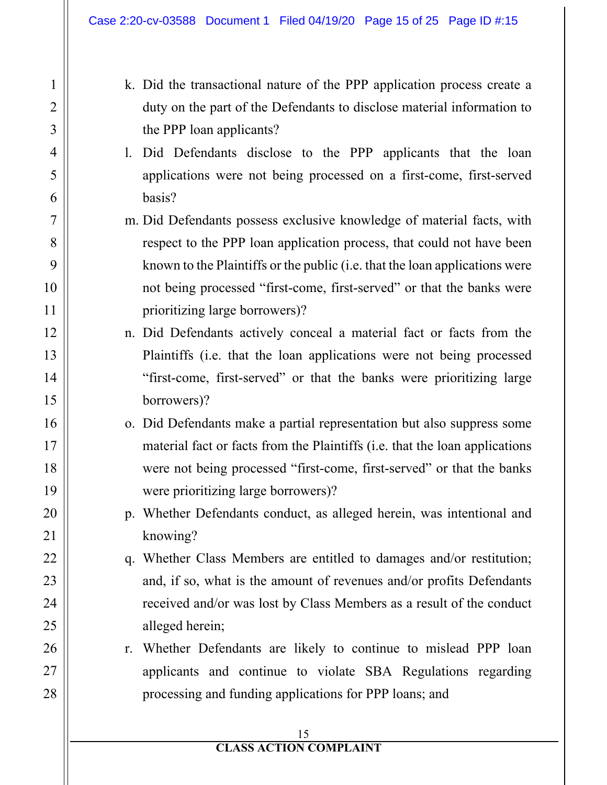- k. Did the transactional nature of the PPP application process create a duty on the part of the Defendants to disclose material information to the PPP loan applicants?
- l. Did Defendants disclose to the PPP applicants that the loan applications were not being processed on a first-come, first-served basis?
- m. Did Defendants possess exclusive knowledge of material facts, with respect to the PPP loan application process, that could not have been known to the Plaintiffs or the public (i.e. that the loan applications were not being processed "first-come, first-served" or that the banks were prioritizing large borrowers)?
- n. Did Defendants actively conceal a material fact or facts from the Plaintiffs (i.e. that the loan applications were not being processed "first-come, first-served" or that the banks were prioritizing large borrowers)?
- o. Did Defendants make a partial representation but also suppress some material fact or facts from the Plaintiffs (i.e. that the loan applications were not being processed "first-come, first-served" or that the banks were prioritizing large borrowers)?
- p. Whether Defendants conduct, as alleged herein, was intentional and knowing?
- q. Whether Class Members are entitled to damages and/or restitution; and, if so, what is the amount of revenues and/or profits Defendants received and/or was lost by Class Members as a result of the conduct alleged herein;
- r. Whether Defendants are likely to continue to mislead PPP loan applicants and continue to violate SBA Regulations regarding processing and funding applications for PPP loans; and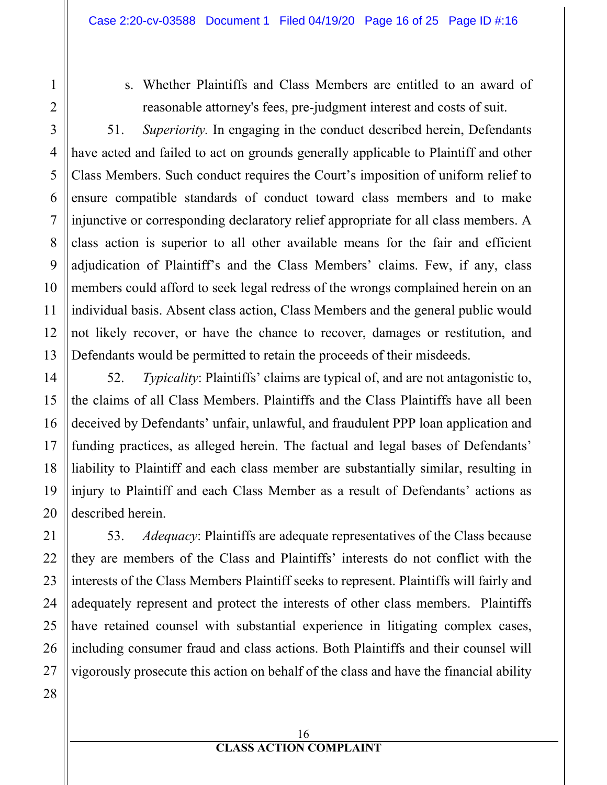- s. Whether Plaintiffs and Class Members are entitled to an award of reasonable attorney's fees, pre-judgment interest and costs of suit.
- 

51. *Superiority.* In engaging in the conduct described herein, Defendants have acted and failed to act on grounds generally applicable to Plaintiff and other Class Members. Such conduct requires the Court's imposition of uniform relief to ensure compatible standards of conduct toward class members and to make injunctive or corresponding declaratory relief appropriate for all class members. A class action is superior to all other available means for the fair and efficient adjudication of Plaintiff's and the Class Members' claims. Few, if any, class members could afford to seek legal redress of the wrongs complained herein on an individual basis. Absent class action, Class Members and the general public would not likely recover, or have the chance to recover, damages or restitution, and Defendants would be permitted to retain the proceeds of their misdeeds.

52. *Typicality*: Plaintiffs' claims are typical of, and are not antagonistic to, the claims of all Class Members. Plaintiffs and the Class Plaintiffs have all been deceived by Defendants' unfair, unlawful, and fraudulent PPP loan application and funding practices, as alleged herein. The factual and legal bases of Defendants' liability to Plaintiff and each class member are substantially similar, resulting in injury to Plaintiff and each Class Member as a result of Defendants' actions as described herein.

53. *Adequacy*: Plaintiffs are adequate representatives of the Class because they are members of the Class and Plaintiffs' interests do not conflict with the interests of the Class Members Plaintiff seeks to represent. Plaintiffs will fairly and adequately represent and protect the interests of other class members. Plaintiffs have retained counsel with substantial experience in litigating complex cases, including consumer fraud and class actions. Both Plaintiffs and their counsel will vigorously prosecute this action on behalf of the class and have the financial ability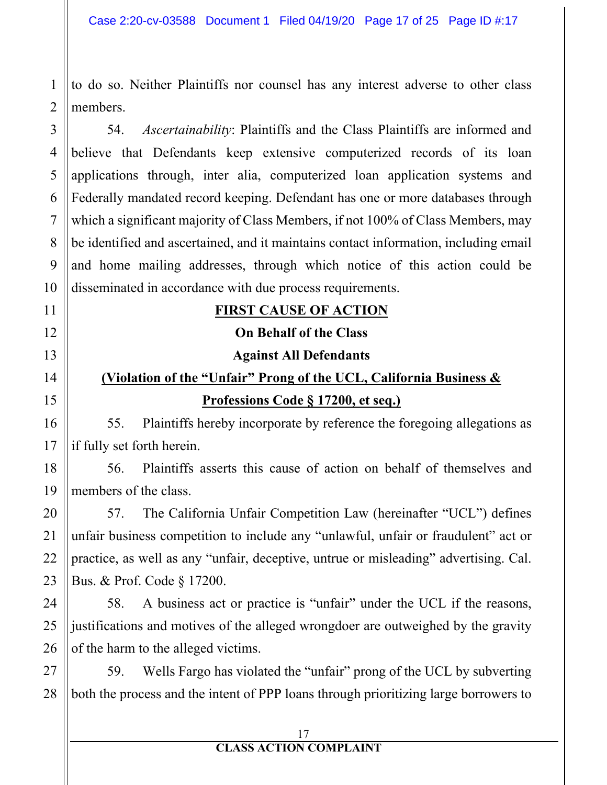to do so. Neither Plaintiffs nor counsel has any interest adverse to other class members.

54. *Ascertainability*: Plaintiffs and the Class Plaintiffs are informed and believe that Defendants keep extensive computerized records of its loan applications through, inter alia, computerized loan application systems and Federally mandated record keeping. Defendant has one or more databases through which a significant majority of Class Members, if not 100% of Class Members, may be identified and ascertained, and it maintains contact information, including email and home mailing addresses, through which notice of this action could be disseminated in accordance with due process requirements.

## **FIRST CAUSE OF ACTION**

**On Behalf of the Class** 

**Against All Defendants** 

# **(Violation of the "Unfair" Prong of the UCL, California Business & Professions Code § 17200, et seq.)**

55. Plaintiffs hereby incorporate by reference the foregoing allegations as if fully set forth herein.

56. Plaintiffs asserts this cause of action on behalf of themselves and members of the class.

57. The California Unfair Competition Law (hereinafter "UCL") defines unfair business competition to include any "unlawful, unfair or fraudulent" act or practice, as well as any "unfair, deceptive, untrue or misleading" advertising. Cal. Bus. & Prof. Code § 17200.

58. A business act or practice is "unfair" under the UCL if the reasons, justifications and motives of the alleged wrongdoer are outweighed by the gravity of the harm to the alleged victims.

59. Wells Fargo has violated the "unfair" prong of the UCL by subverting both the process and the intent of PPP loans through prioritizing large borrowers to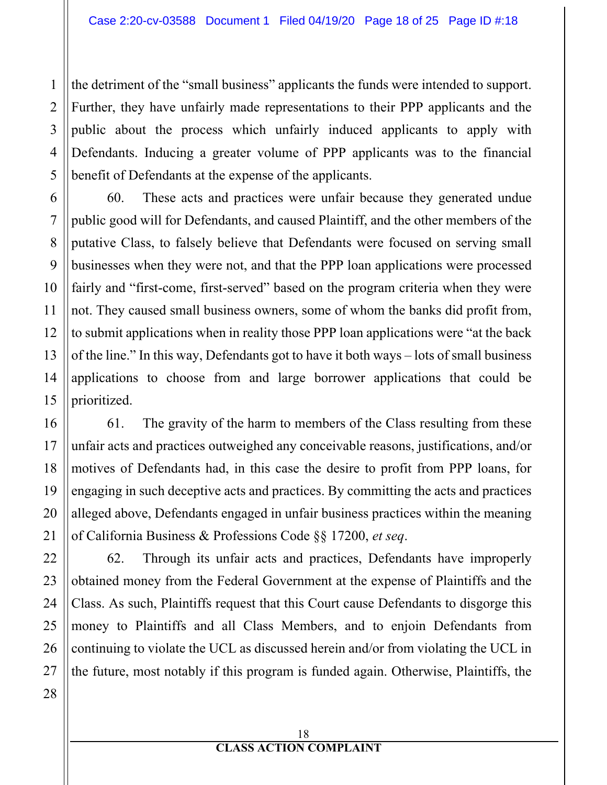the detriment of the "small business" applicants the funds were intended to support. Further, they have unfairly made representations to their PPP applicants and the public about the process which unfairly induced applicants to apply with Defendants. Inducing a greater volume of PPP applicants was to the financial benefit of Defendants at the expense of the applicants.

60. These acts and practices were unfair because they generated undue public good will for Defendants, and caused Plaintiff, and the other members of the putative Class, to falsely believe that Defendants were focused on serving small businesses when they were not, and that the PPP loan applications were processed fairly and "first-come, first-served" based on the program criteria when they were not. They caused small business owners, some of whom the banks did profit from, to submit applications when in reality those PPP loan applications were "at the back of the line." In this way, Defendants got to have it both ways – lots of small business applications to choose from and large borrower applications that could be prioritized.

61. The gravity of the harm to members of the Class resulting from these unfair acts and practices outweighed any conceivable reasons, justifications, and/or motives of Defendants had, in this case the desire to profit from PPP loans, for engaging in such deceptive acts and practices. By committing the acts and practices alleged above, Defendants engaged in unfair business practices within the meaning of California Business & Professions Code §§ 17200, *et seq*.

62. Through its unfair acts and practices, Defendants have improperly obtained money from the Federal Government at the expense of Plaintiffs and the Class. As such, Plaintiffs request that this Court cause Defendants to disgorge this money to Plaintiffs and all Class Members, and to enjoin Defendants from continuing to violate the UCL as discussed herein and/or from violating the UCL in the future, most notably if this program is funded again. Otherwise, Plaintiffs, the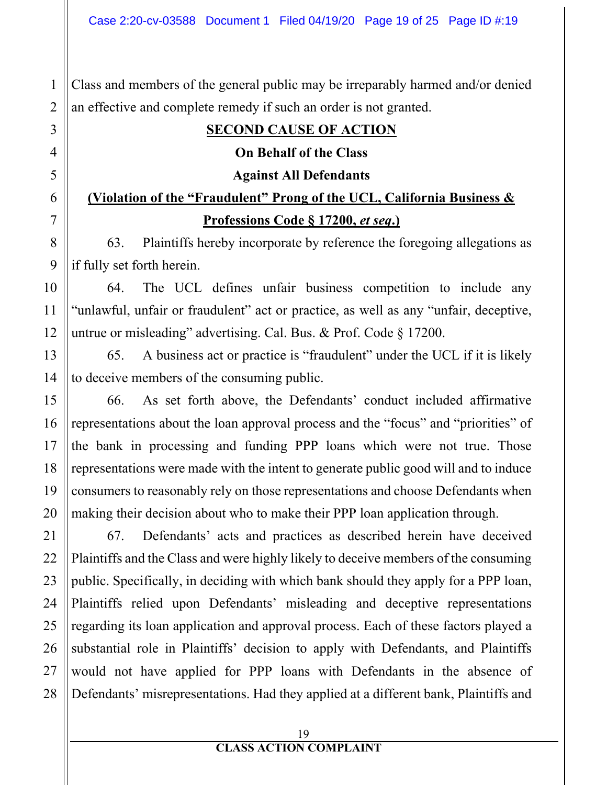Class and members of the general public may be irreparably harmed and/or denied an effective and complete remedy if such an order is not granted.

### **SECOND CAUSE OF ACTION**

### **On Behalf of the Class**

### **Against All Defendants**

# **(Violation of the "Fraudulent" Prong of the UCL, California Business & Professions Code § 17200,** *et seq***.)**

63. Plaintiffs hereby incorporate by reference the foregoing allegations as if fully set forth herein.

64. The UCL defines unfair business competition to include any "unlawful, unfair or fraudulent" act or practice, as well as any "unfair, deceptive, untrue or misleading" advertising. Cal. Bus. & Prof. Code § 17200.

65. A business act or practice is "fraudulent" under the UCL if it is likely to deceive members of the consuming public.

66. As set forth above, the Defendants' conduct included affirmative representations about the loan approval process and the "focus" and "priorities" of the bank in processing and funding PPP loans which were not true. Those representations were made with the intent to generate public good will and to induce consumers to reasonably rely on those representations and choose Defendants when making their decision about who to make their PPP loan application through.

67. Defendants' acts and practices as described herein have deceived Plaintiffs and the Class and were highly likely to deceive members of the consuming public. Specifically, in deciding with which bank should they apply for a PPP loan, Plaintiffs relied upon Defendants' misleading and deceptive representations regarding its loan application and approval process. Each of these factors played a substantial role in Plaintiffs' decision to apply with Defendants, and Plaintiffs would not have applied for PPP loans with Defendants in the absence of Defendants' misrepresentations. Had they applied at a different bank, Plaintiffs and

1

2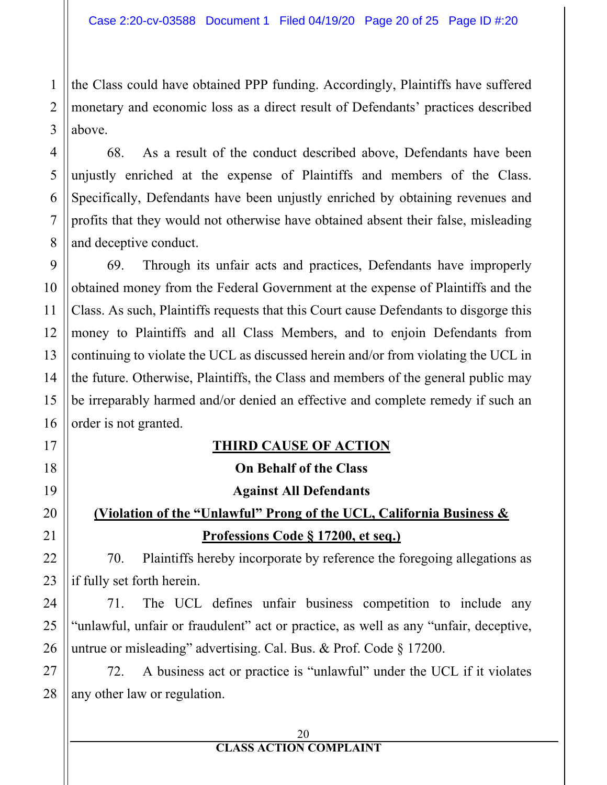the Class could have obtained PPP funding. Accordingly, Plaintiffs have suffered monetary and economic loss as a direct result of Defendants' practices described above.

68. As a result of the conduct described above, Defendants have been unjustly enriched at the expense of Plaintiffs and members of the Class. Specifically, Defendants have been unjustly enriched by obtaining revenues and profits that they would not otherwise have obtained absent their false, misleading and deceptive conduct.

69. Through its unfair acts and practices, Defendants have improperly obtained money from the Federal Government at the expense of Plaintiffs and the Class. As such, Plaintiffs requests that this Court cause Defendants to disgorge this money to Plaintiffs and all Class Members, and to enjoin Defendants from continuing to violate the UCL as discussed herein and/or from violating the UCL in the future. Otherwise, Plaintiffs, the Class and members of the general public may be irreparably harmed and/or denied an effective and complete remedy if such an order is not granted.

## **THIRD CAUSE OF ACTION**

# **On Behalf of the Class**

### **Against All Defendants**

# **(Violation of the "Unlawful" Prong of the UCL, California Business & Professions Code § 17200, et seq.)**

70. Plaintiffs hereby incorporate by reference the foregoing allegations as if fully set forth herein.

71. The UCL defines unfair business competition to include any "unlawful, unfair or fraudulent" act or practice, as well as any "unfair, deceptive, untrue or misleading" advertising. Cal. Bus. & Prof. Code § 17200.

72. A business act or practice is "unlawful" under the UCL if it violates any other law or regulation.

#### 20  **CLASS ACTION COMPLAINT**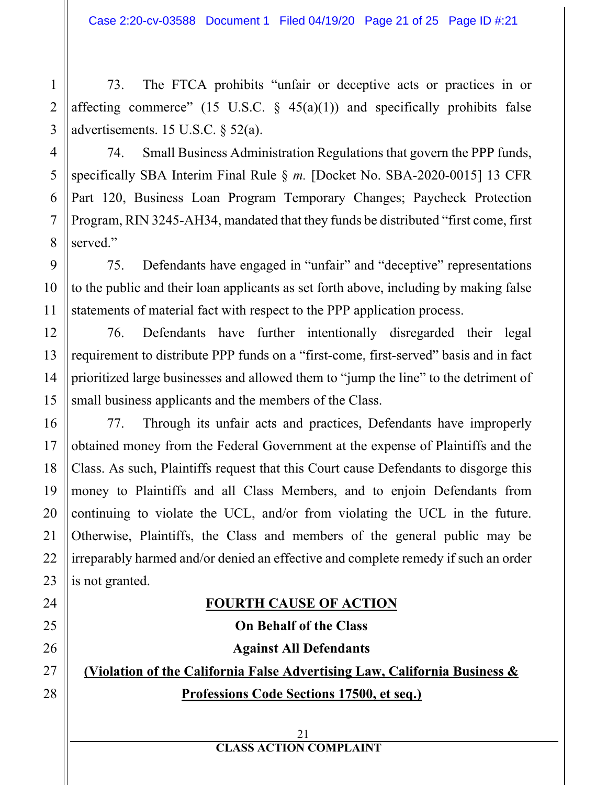73. The FTCA prohibits "unfair or deceptive acts or practices in or affecting commerce" (15 U.S.C.  $\S$  45(a)(1)) and specifically prohibits false advertisements. 15 U.S.C. § 52(a).

74. Small Business Administration Regulations that govern the PPP funds, specifically SBA Interim Final Rule § *m.* [Docket No. SBA-2020-0015] 13 CFR Part 120, Business Loan Program Temporary Changes; Paycheck Protection Program, RIN 3245-AH34, mandated that they funds be distributed "first come, first served."

75. Defendants have engaged in "unfair" and "deceptive" representations to the public and their loan applicants as set forth above, including by making false statements of material fact with respect to the PPP application process.

76. Defendants have further intentionally disregarded their legal requirement to distribute PPP funds on a "first-come, first-served" basis and in fact prioritized large businesses and allowed them to "jump the line" to the detriment of small business applicants and the members of the Class.

77. Through its unfair acts and practices, Defendants have improperly obtained money from the Federal Government at the expense of Plaintiffs and the Class. As such, Plaintiffs request that this Court cause Defendants to disgorge this money to Plaintiffs and all Class Members, and to enjoin Defendants from continuing to violate the UCL, and/or from violating the UCL in the future. Otherwise, Plaintiffs, the Class and members of the general public may be irreparably harmed and/or denied an effective and complete remedy if such an order is not granted.

# **FOURTH CAUSE OF ACTION**

# **On Behalf of the Class**

**Against All Defendants** 

**(Violation of the California False Advertising Law, California Business & Professions Code Sections 17500, et seq.)**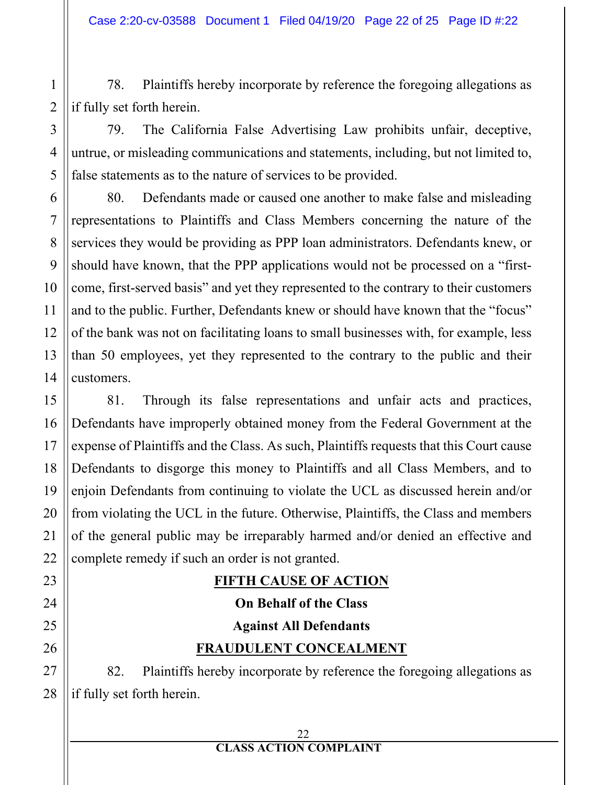78. Plaintiffs hereby incorporate by reference the foregoing allegations as if fully set forth herein.

79. The California False Advertising Law prohibits unfair, deceptive, untrue, or misleading communications and statements, including, but not limited to, false statements as to the nature of services to be provided.

80. Defendants made or caused one another to make false and misleading representations to Plaintiffs and Class Members concerning the nature of the services they would be providing as PPP loan administrators. Defendants knew, or should have known, that the PPP applications would not be processed on a "firstcome, first-served basis" and yet they represented to the contrary to their customers and to the public. Further, Defendants knew or should have known that the "focus" of the bank was not on facilitating loans to small businesses with, for example, less than 50 employees, yet they represented to the contrary to the public and their customers.

81. Through its false representations and unfair acts and practices, Defendants have improperly obtained money from the Federal Government at the expense of Plaintiffs and the Class. As such, Plaintiffs requests that this Court cause Defendants to disgorge this money to Plaintiffs and all Class Members, and to enjoin Defendants from continuing to violate the UCL as discussed herein and/or from violating the UCL in the future. Otherwise, Plaintiffs, the Class and members of the general public may be irreparably harmed and/or denied an effective and complete remedy if such an order is not granted.

# **FIFTH CAUSE OF ACTION On Behalf of the Class Against All Defendants FRAUDULENT CONCEALMENT**

82. Plaintiffs hereby incorporate by reference the foregoing allegations as if fully set forth herein.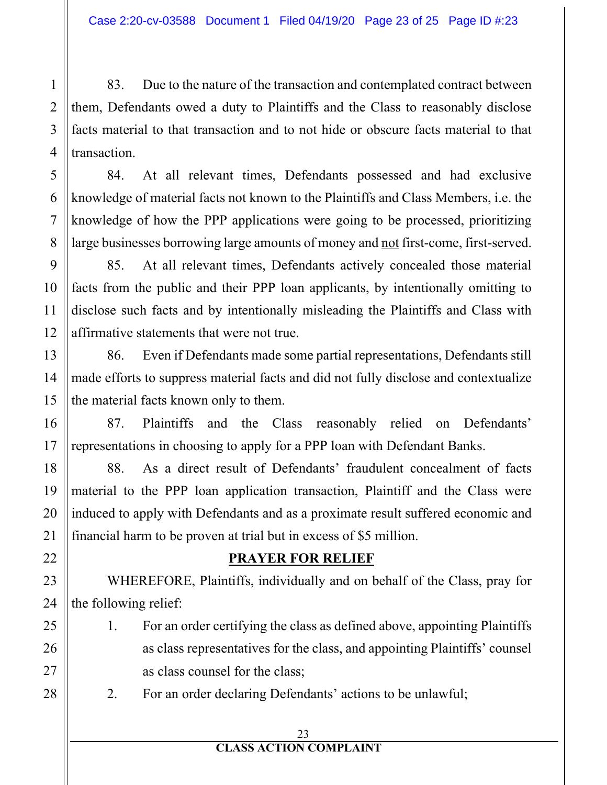83. Due to the nature of the transaction and contemplated contract between them, Defendants owed a duty to Plaintiffs and the Class to reasonably disclose facts material to that transaction and to not hide or obscure facts material to that transaction.

84. At all relevant times, Defendants possessed and had exclusive knowledge of material facts not known to the Plaintiffs and Class Members, i.e. the knowledge of how the PPP applications were going to be processed, prioritizing large businesses borrowing large amounts of money and not first-come, first-served.

85. At all relevant times, Defendants actively concealed those material facts from the public and their PPP loan applicants, by intentionally omitting to disclose such facts and by intentionally misleading the Plaintiffs and Class with affirmative statements that were not true.

86. Even if Defendants made some partial representations, Defendants still made efforts to suppress material facts and did not fully disclose and contextualize the material facts known only to them.

87. Plaintiffs and the Class reasonably relied on Defendants' representations in choosing to apply for a PPP loan with Defendant Banks.

88. As a direct result of Defendants' fraudulent concealment of facts material to the PPP loan application transaction, Plaintiff and the Class were induced to apply with Defendants and as a proximate result suffered economic and financial harm to be proven at trial but in excess of \$5 million.

## **PRAYER FOR RELIEF**

WHEREFORE, Plaintiffs, individually and on behalf of the Class, pray for the following relief:

- 1. For an order certifying the class as defined above, appointing Plaintiffs as class representatives for the class, and appointing Plaintiffs' counsel as class counsel for the class;
- 2. For an order declaring Defendants' actions to be unlawful;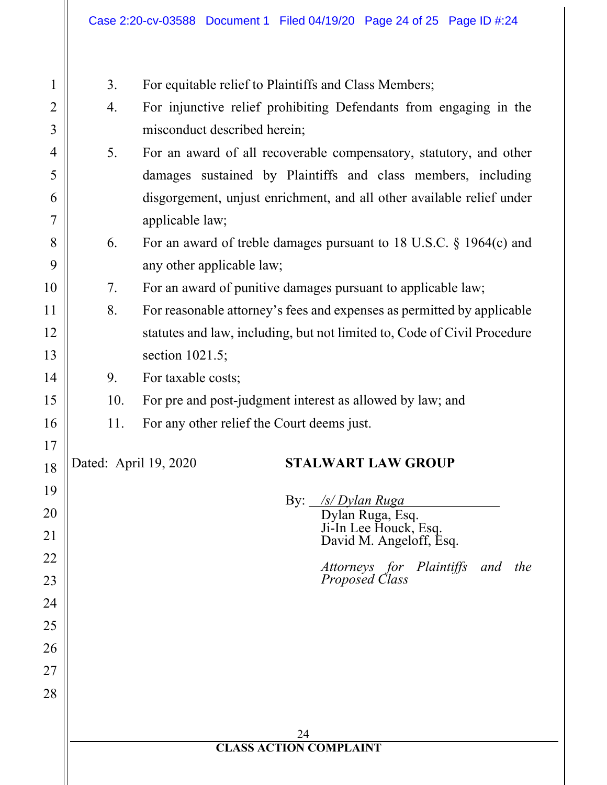24  **CLASS ACTION COMPLAINT**  1 2 3 4 5 6 7 8 9 10 11 12 13 14 15 16 17 18 19 20 21 22 23 24 25 26 27 28 3. For equitable relief to Plaintiffs and Class Members; 4. For injunctive relief prohibiting Defendants from engaging in the misconduct described herein; 5. For an award of all recoverable compensatory, statutory, and other damages sustained by Plaintiffs and class members, including disgorgement, unjust enrichment, and all other available relief under applicable law; 6. For an award of treble damages pursuant to 18 U.S.C. § 1964(c) and any other applicable law; 7. For an award of punitive damages pursuant to applicable law; 8. For reasonable attorney's fees and expenses as permitted by applicable statutes and law, including, but not limited to, Code of Civil Procedure section 1021.5; 9. For taxable costs; 10. For pre and post-judgment interest as allowed by law; and 11. For any other relief the Court deems just. Dated: April 19, 2020 **STALWART LAW GROUP** By: */s/ Dylan Ruga*  Dylan Ruga, Esq. Ji-In Lee Houck, Esq. David M. Angeloff, Esq. *Attorneys for Plaintiffs and the Proposed Class*